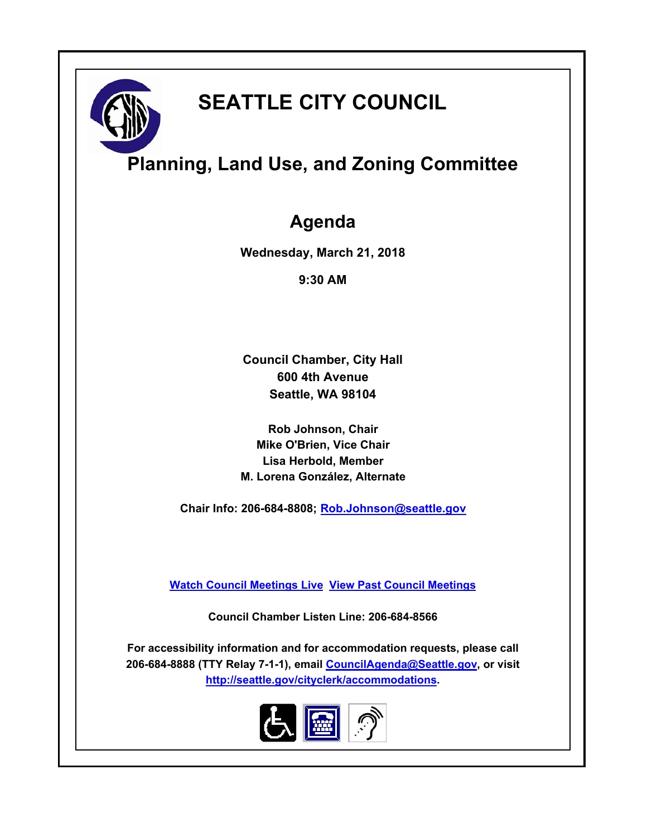

# **SEATTLE CITY COUNCIL**

## **Planning, Land Use, and Zoning Committee**

### **Agenda**

**Wednesday, March 21, 2018**

**9:30 AM**

**Council Chamber, City Hall 600 4th Avenue Seattle, WA 98104**

**Rob Johnson, Chair Mike O'Brien, Vice Chair Lisa Herbold, Member M. Lorena González, Alternate**

**Chair Info: 206-684-8808; [Rob.Johnson@seattle.gov](mailto:Rob.Johnson@seattle.gov)**

**[Watch Council Meetings Live](http://www.seattle.gov/council/councillive.htm) [View Past Council Meetings](http://www.seattlechannel.org/videos/browseVideos.asp?topic=council)**

**Council Chamber Listen Line: 206-684-8566**

**For accessibility information and for accommodation requests, please call 206-684-8888 (TTY Relay 7-1-1), email [CouncilAgenda@Seattle.gov](mailto:CouncilAgenda@Seattle.gov), or visit <http://seattle.gov/cityclerk/accommodations>.**

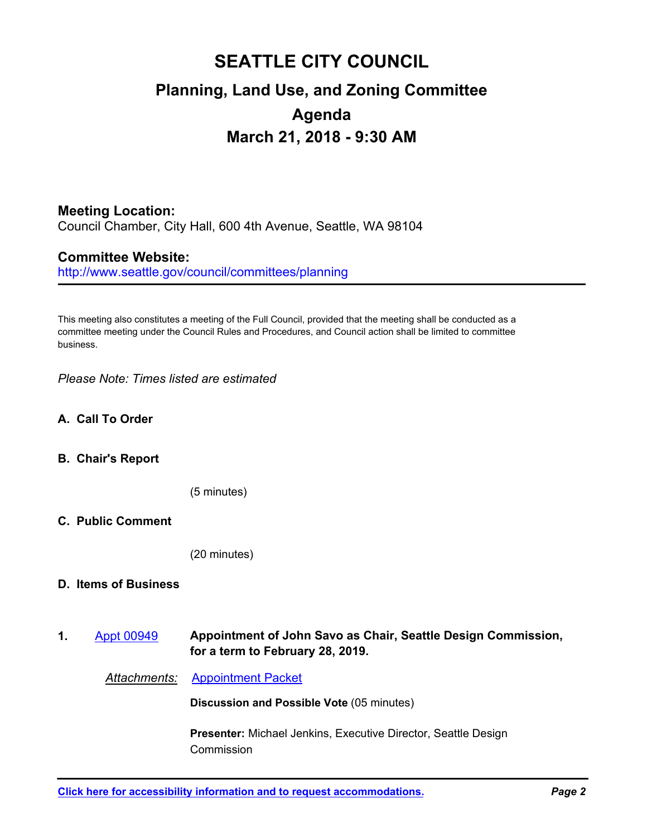## **SEATTLE CITY COUNCIL Planning, Land Use, and Zoning Committee Agenda March 21, 2018 - 9:30 AM**

### **Meeting Location:**

Council Chamber, City Hall, 600 4th Avenue, Seattle, WA 98104

#### **Committee Website:**

http://www.seattle.gov/council/committees/planning

This meeting also constitutes a meeting of the Full Council, provided that the meeting shall be conducted as a committee meeting under the Council Rules and Procedures, and Council action shall be limited to committee business.

*Please Note: Times listed are estimated*

#### **A. Call To Order**

#### **B. Chair's Report**

(5 minutes)

#### **C. Public Comment**

(20 minutes)

#### **D. Items of Business**

**Appointment of John Savo as Chair, Seattle Design Commission, for a term to February 28, 2019. 1.** [Appt 00949](http://seattle.legistar.com/gateway.aspx?m=l&id=/matter.aspx?key=6882)

*Attachments:* [Appointment Packet](http://seattle.legistar.com/gateway.aspx?M=F&ID=02790a9e-965a-441a-8c05-d740127ca561.pdf)

**Discussion and Possible Vote** (05 minutes)

**Presenter:** Michael Jenkins, Executive Director, Seattle Design Commission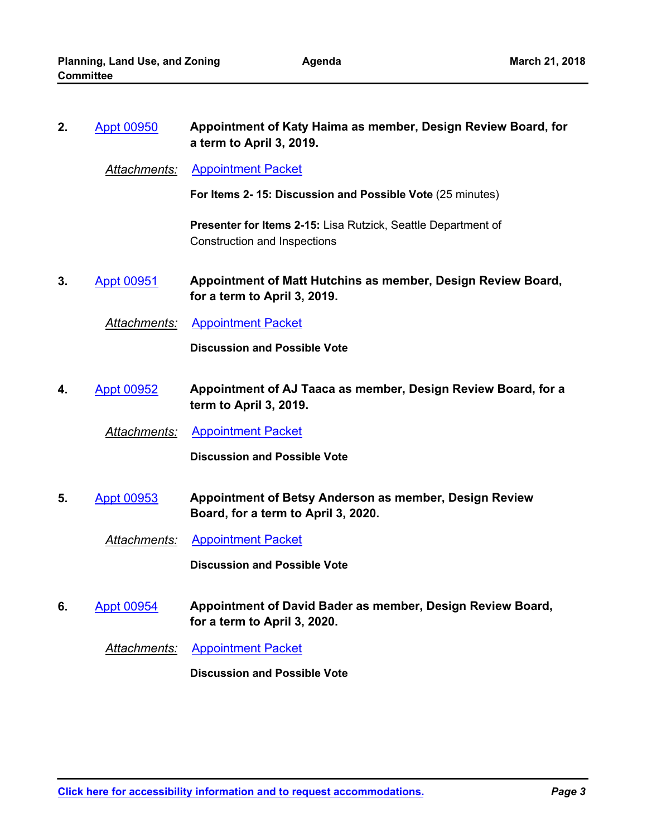| 2. | <b>Appt 00950</b>   | Appointment of Katy Haima as member, Design Review Board, for<br>a term to April 3, 2019.            |
|----|---------------------|------------------------------------------------------------------------------------------------------|
|    | Attachments:        | <b>Appointment Packet</b>                                                                            |
|    |                     | For Items 2-15: Discussion and Possible Vote (25 minutes)                                            |
|    |                     | <b>Presenter for Items 2-15: Lisa Rutzick, Seattle Department of</b><br>Construction and Inspections |
| 3. | <b>Appt 00951</b>   | Appointment of Matt Hutchins as member, Design Review Board,<br>for a term to April 3, 2019.         |
|    | Attachments:        | <b>Appointment Packet</b>                                                                            |
|    |                     | <b>Discussion and Possible Vote</b>                                                                  |
| 4. | <b>Appt 00952</b>   | Appointment of AJ Taaca as member, Design Review Board, for a<br>term to April 3, 2019.              |
|    | <b>Attachments:</b> | <b>Appointment Packet</b>                                                                            |
|    |                     | <b>Discussion and Possible Vote</b>                                                                  |
| 5. | <b>Appt 00953</b>   | Appointment of Betsy Anderson as member, Design Review<br>Board, for a term to April 3, 2020.        |
|    | Attachments:        | <b>Appointment Packet</b>                                                                            |
|    |                     | <b>Discussion and Possible Vote</b>                                                                  |
| 6. | <b>Appt 00954</b>   | Appointment of David Bader as member, Design Review Board,<br>for a term to April 3, 2020.           |
|    | <b>Attachments:</b> | <b>Appointment Packet</b>                                                                            |
|    |                     | <b>Discussion and Possible Vote</b>                                                                  |
|    |                     |                                                                                                      |
|    |                     |                                                                                                      |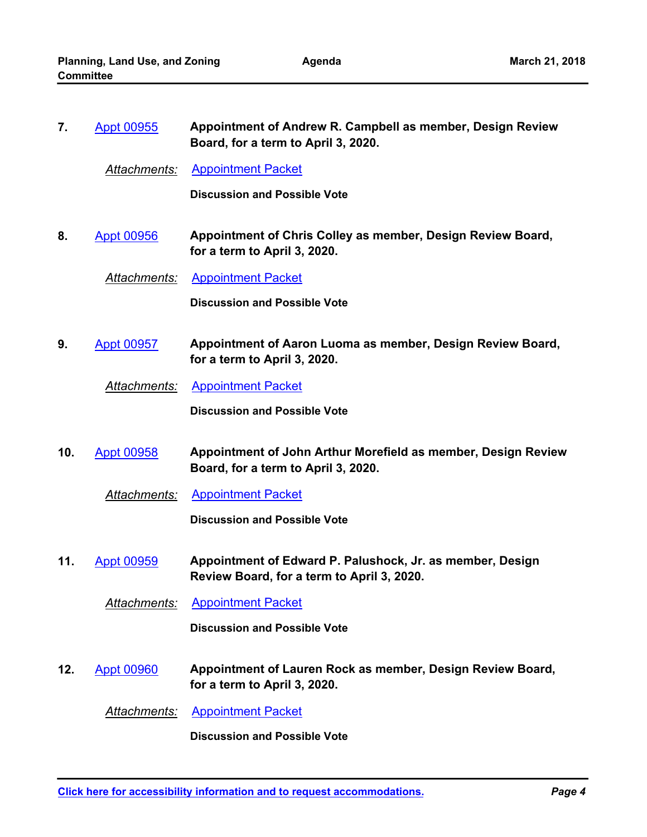| 7.  | <b>Appt 00955</b>   | Appointment of Andrew R. Campbell as member, Design Review<br>Board, for a term to April 3, 2020.       |
|-----|---------------------|---------------------------------------------------------------------------------------------------------|
|     | <b>Attachments:</b> | <b>Appointment Packet</b>                                                                               |
|     |                     | <b>Discussion and Possible Vote</b>                                                                     |
| 8.  | <b>Appt 00956</b>   | Appointment of Chris Colley as member, Design Review Board,<br>for a term to April 3, 2020.             |
|     | Attachments:        | <b>Appointment Packet</b>                                                                               |
|     |                     | <b>Discussion and Possible Vote</b>                                                                     |
| 9.  | <b>Appt 00957</b>   | Appointment of Aaron Luoma as member, Design Review Board,<br>for a term to April 3, 2020.              |
|     | Attachments:        | <b>Appointment Packet</b>                                                                               |
|     |                     | <b>Discussion and Possible Vote</b>                                                                     |
| 10. | <b>Appt 00958</b>   | Appointment of John Arthur Morefield as member, Design Review<br>Board, for a term to April 3, 2020.    |
|     | Attachments:        | <b>Appointment Packet</b>                                                                               |
|     |                     | <b>Discussion and Possible Vote</b>                                                                     |
| 11. | <b>Appt 00959</b>   | Appointment of Edward P. Palushock, Jr. as member, Design<br>Review Board, for a term to April 3, 2020. |
|     | <b>Attachments:</b> | <b>Appointment Packet</b>                                                                               |
|     |                     | <b>Discussion and Possible Vote</b>                                                                     |
| 12. | <b>Appt 00960</b>   | Appointment of Lauren Rock as member, Design Review Board,<br>for a term to April 3, 2020.              |
|     | <u>Attachments:</u> | <b>Appointment Packet</b>                                                                               |
|     |                     | <b>Discussion and Possible Vote</b>                                                                     |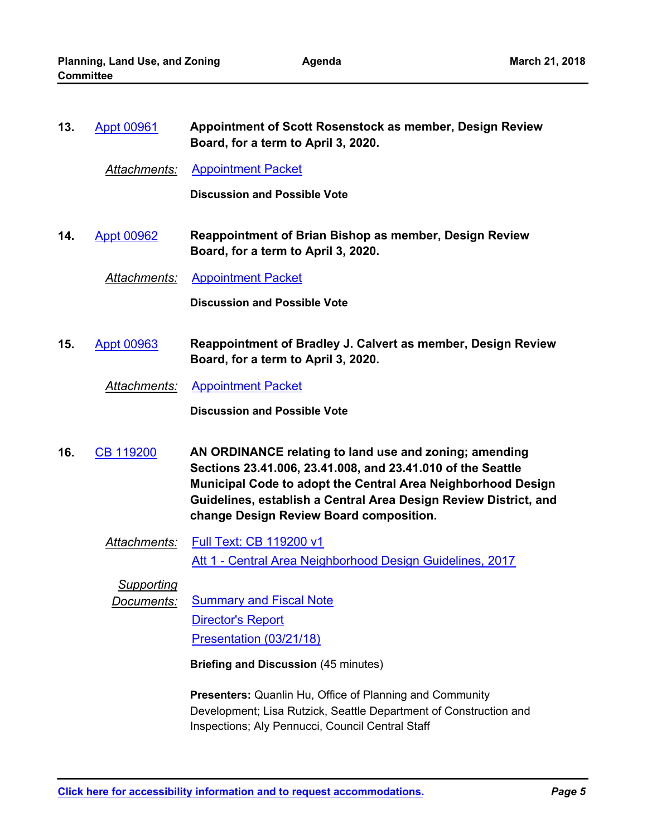| 13. | <b>Appt 00961</b>   | Appointment of Scott Rosenstock as member, Design Review<br>Board, for a term to April 3, 2020.                                                                                                                                                                                                      |
|-----|---------------------|------------------------------------------------------------------------------------------------------------------------------------------------------------------------------------------------------------------------------------------------------------------------------------------------------|
|     | Attachments:        | <b>Appointment Packet</b>                                                                                                                                                                                                                                                                            |
|     |                     | <b>Discussion and Possible Vote</b>                                                                                                                                                                                                                                                                  |
| 14. | <b>Appt 00962</b>   | <b>Reappointment of Brian Bishop as member, Design Review</b><br>Board, for a term to April 3, 2020.                                                                                                                                                                                                 |
|     | <u>Attachments:</u> | <b>Appointment Packet</b>                                                                                                                                                                                                                                                                            |
|     |                     | <b>Discussion and Possible Vote</b>                                                                                                                                                                                                                                                                  |
| 15. | <b>Appt 00963</b>   | Reappointment of Bradley J. Calvert as member, Design Review<br>Board, for a term to April 3, 2020.                                                                                                                                                                                                  |
|     | Attachments:        | <b>Appointment Packet</b>                                                                                                                                                                                                                                                                            |
|     |                     | <b>Discussion and Possible Vote</b>                                                                                                                                                                                                                                                                  |
| 16. | <b>CB 119200</b>    | AN ORDINANCE relating to land use and zoning; amending<br>Sections 23.41.006, 23.41.008, and 23.41.010 of the Seattle<br>Municipal Code to adopt the Central Area Neighborhood Design<br>Guidelines, establish a Central Area Design Review District, and<br>change Design Review Board composition. |
|     | Attachments:        | Full Text: CB 119200 v1                                                                                                                                                                                                                                                                              |
|     |                     | Att 1 - Central Area Neighborhood Design Guidelines, 2017                                                                                                                                                                                                                                            |
|     | <b>Supporting</b>   |                                                                                                                                                                                                                                                                                                      |
|     | <u>Documents:</u>   | <b>Summary and Fiscal Note</b>                                                                                                                                                                                                                                                                       |
|     |                     | <b>Director's Report</b>                                                                                                                                                                                                                                                                             |
|     |                     | Presentation (03/21/18)                                                                                                                                                                                                                                                                              |
|     |                     | <b>Briefing and Discussion (45 minutes)</b>                                                                                                                                                                                                                                                          |
|     |                     | <b>Presenters:</b> Quanlin Hu, Office of Planning and Community<br>Development; Lisa Rutzick, Seattle Department of Construction and<br>Inspections; Aly Pennucci, Council Central Staff                                                                                                             |